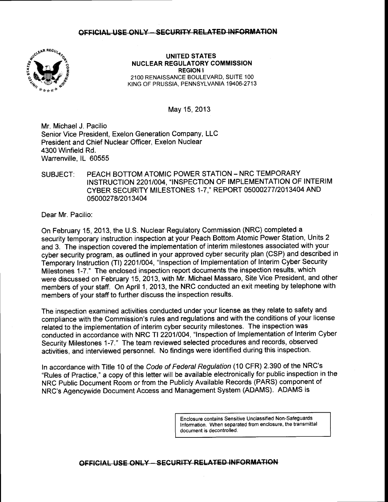### OFFICIAL USE ONLY - SECURITY RELATED INFORMATION



UNITED STATES NUCLEAR REGULATORY COMMISSION REGION I 21OO RENAISSANCE BOULEVARD, SUITE 1OO KING OF PRUSSIA, PENNSYLVANIA 19406-2713

May 15,2013

Mr. Michael J. Pacilio Senior Vice President, Exelon Generation Company, LLC President and Chief Nuclear Officer, Exelon Nuclear 4300 Winfield Rd. Warrenville, lL 60555

## SUBJECT: PEACH BOTTOM ATOMIC POWER STATION - NRC TEMPORARY INSTRUCTION 22011004, "INSPECTION OF IMPLEMENTATION OF INTERIM CYBER SECURITY MILESTONES 1-7,' REPORT O5OOO277 I2O1 3404 AND 05000278/2013404

Dear Mr. Pacilio:

On February 15, 2013, the U.S. Nuclear Regulatory Commission (NRC) completed a security temporary instruction inspection at your Peach Bottom Atomic Power Station, Units 2 and 3. The inspection covered the implementation of interim milestones associated with your cyber security program, as outlined in your approved cyber security plan (CSP) and described in Temporary Instruction (Tl) 22011004, "lnspection of lmplementation of Interim Cyber Security Milestones 1-7." The enclosed inspection report documents the inspection results, which were discussed on February 15,2013, with Mr. Michael Massaro, Site Vice President, and other members of your staff. On April 1, 2013, the NRC conducted an exit meeting by telephone with members of your staff to further discuss the inspection results.

The inspection examined activities conducted under your license as they relate to safety and compliance with the Commission's rules and regulations and with the conditions of your license related to the implementation of interim cyber security milestones. The inspection was conducted in accordance with NRC Tl 22011004, "lnspection of lmplementation of Interim Cyber Security Milestones 1-7." The team reviewed selected procedures and records, observed activities, and interviewed personnel. No findings were identified during this inspection.

In accordance with Title 10 of the Code of Federal Regulation (10 CFR) 2.390 of the NRC's "Rules of Practice," a copy of this letter will be available electronically for public inspection in the NRC Public Document Room or from the Publicly Available Records (PARS) component of NRC's Agencywide Document Access and Management System (ADAMS). ADAMS is

> Enclosure contains Sensitive Unclassified Non-Safeguards Information. When separated from enclosure, the transmittal document is decontrolled.

OFFICIAL USE ONLY - SECURITY RELATED INFORMATION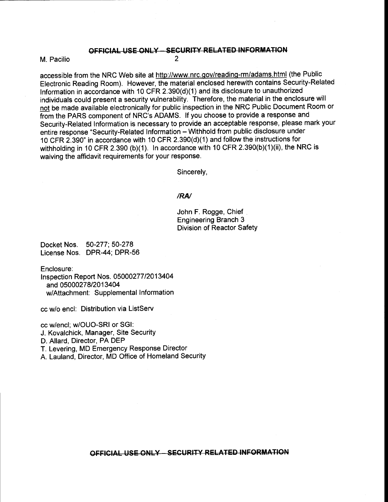#### OFFICIAL USE ONLY - SECURITY RELATED INFORMATION

2

M. Pacilio

accessible from the NRC Web site at http://www.nrc.gov/reading-rm/adams.html (the Public Electronic Reading Room). However, the material enclosed herewith contains Security-Related Information in accordance with 10 CFR 2.390(d)(1) and its disclosure to unauthorized individuals could present a security vulnerability. Therefore, the material in the enclosure will not be made available electronically for public inspection in the NRC Public Document Room or from the PARS component of NRC's ADAMS. lf you choose to provide a response and Security-Related lnformation is necessary to provide an acceptable response, please mark your entire response "Security-Related Information - Withhold from public disclosure under 10 CFR 2.390" in accordance with 10 CFR 2.390(d)(1) and follow the instructions for withholding in 10 CFR 2.390 (b)(1). In accordance with 10 CFR 2.390(b)(1)(ii), the NRC is waiving the affidavit requirements for your response.

Sincerely,

#### /RN

John F. Rogge, Chief Engineering Branch 3 Division of Reactor Safety

Docket Nos. 50-277; 50-278 License Nos. DPR-44: DPR-56

Enclosure:

<sup>f</sup>nspection Report Nos. 05000277 12013404 and 0500027812013404 w/Attachment: Supplemental Information

cc Mo encl: Distribution via ListServ

cc w/encl; w/OUO-SRI or SGI:

J. Kovalchick, Manager, Site Security

D. Allard, Director, PA DEP

T. Levering, MD Emergency Response Director

A. Lauland, Director, MD Office of Homeland Security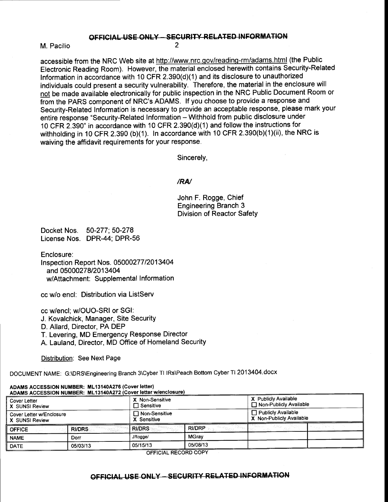## OFFICIAL USE ONLY - SECURITY RELATED INFORMATION

2

M. Pacilio

accessible from the NRC Web site at http://www.nrc.gov/reading-rm/adams.html (the Public Electronic Reading Room). However, the material enclosed herewith contains Security-Related Information in accordance with 10 CFR 2.390(d)(1) and its disclosure to unauthorized individuals could present a security vulnerability. Therefore, the material in the enclosure will not be made available electronically for public inspection in the NRC Public Document Room or from the PARS component of NRC's ADAMS. lf you choose to provide a response and Security-Related Information is necessary to provide an acceptable response, please mark your entire response "Security-Related Information - Withhold from public disclosure under 10 CFR 2.390" in accordance with 10 CFR 2.390(d)(1) and follow the instructions for withholding in 10 CFR 2.390 (b)(1). In accordance with 10 CFR 2.390(b)(1)(ii), the NRC is waiving the affidavit requirements for your response.

Sincerely,

#### /RN

John F. Rogge, Chief Engineering Branch 3 Division of Reactor Safety

Docket Nos. 50-277; 50-278 License Nos. DPR-44: DPR-56

Enclosure:

lnspection Report Nos. 05000277 12013404 and 0500027812013404 w/Attachment: Supplemental Information

cc Mo encl: Distribution via ListServ

cc w/encl; w/OUO-SRI or SGI:

J. Kovalchick, Manager, Site Security

D. Allard, Director, PA DEP

T. Levering, MD Emergency Response Director

A. Lauland, Director, MD Otfice of Homeland Security

Distribution: See Next Page

DOCUMENT NAME: G:\DRS\Engineering Branch 3\Cyber Tl lRs\Peach Bottom Cyber Tl 2013404.docx

| ADAMS ACCESSION NUMBER: ML13140A272 (Cover letter w/enclosure) |               |                                     |               |                                                  |  |
|----------------------------------------------------------------|---------------|-------------------------------------|---------------|--------------------------------------------------|--|
| Cover Letter<br>X SUNSI Review                                 |               | X Non-Sensitive<br>$\Box$ Sensitive |               | X Publicly Available<br>Non-Publicly Available   |  |
| Cover Letter w/Enclosure<br>X SUNSI Review                     |               | $\Box$ Non-Sensitive<br>X Sensitive |               | □ Publicly Available<br>X Non-Publicly Available |  |
| <b>OFFICE</b>                                                  | <b>RI/DRS</b> | <b>RI/DRS</b>                       | <b>RI/DRP</b> |                                                  |  |
| <b>NAME</b>                                                    | Dorr          | JRogge/                             | <b>MGrav</b>  |                                                  |  |
| <b>DATE</b>                                                    | 05/03/13      | 05/15/13                            | 05/08/13      |                                                  |  |

ADAMS ACCESSION NUMBER: ML13140A276 (Cover letter)

**OFFICIAL RECORD COPY** 

# OFFICIAL USE ONLY - SECURITY RELATED INFORMATION